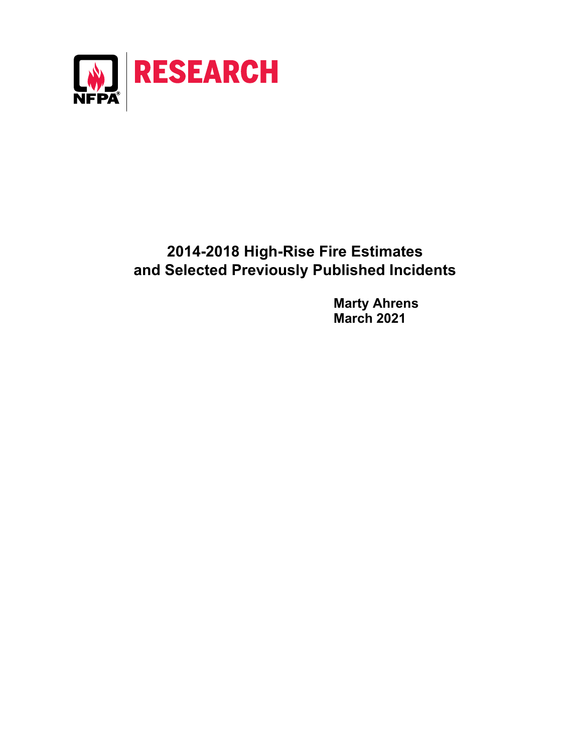

# **2014-2018 High-Rise Fire Estimates and Selected Previously Published Incidents**

**Marty Ahrens March 2021**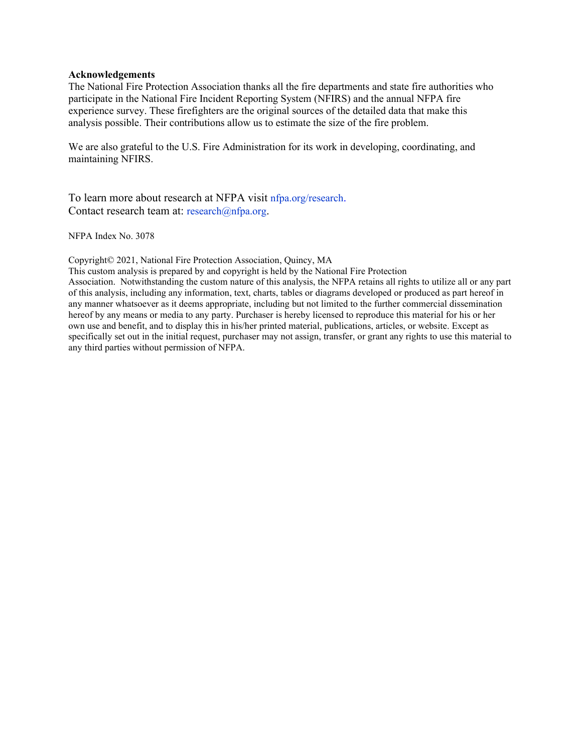#### **Acknowledgements**

The National Fire Protection Association thanks all the fire departments and state fire authorities who participate in the National Fire Incident Reporting System (NFIRS) and the annual NFPA fire experience survey. These firefighters are the original sources of the detailed data that make this analysis possible. Their contributions allow us to estimate the size of the fire problem.

We are also grateful to the U.S. Fire Administration for its work in developing, coordinating, and maintaining NFIRS.

To learn more about research at NFPA visit [nfpa.org/research.](http://www.nfpa.org/research) Contact research team at: [research@nfpa.org.](mailto:research@nfpa.org)

NFPA Index No. 3078

Copyright© 2021, National Fire Protection Association, Quincy, MA

This custom analysis is prepared by and copyright is held by the National Fire Protection Association. Notwithstanding the custom nature of this analysis, the NFPA retains all rights to utilize all or any part

of this analysis, including any information, text, charts, tables or diagrams developed or produced as part hereof in any manner whatsoever as it deems appropriate, including but not limited to the further commercial dissemination hereof by any means or media to any party. Purchaser is hereby licensed to reproduce this material for his or her own use and benefit, and to display this in his/her printed material, publications, articles, or website. Except as specifically set out in the initial request, purchaser may not assign, transfer, or grant any rights to use this material to any third parties without permission of NFPA.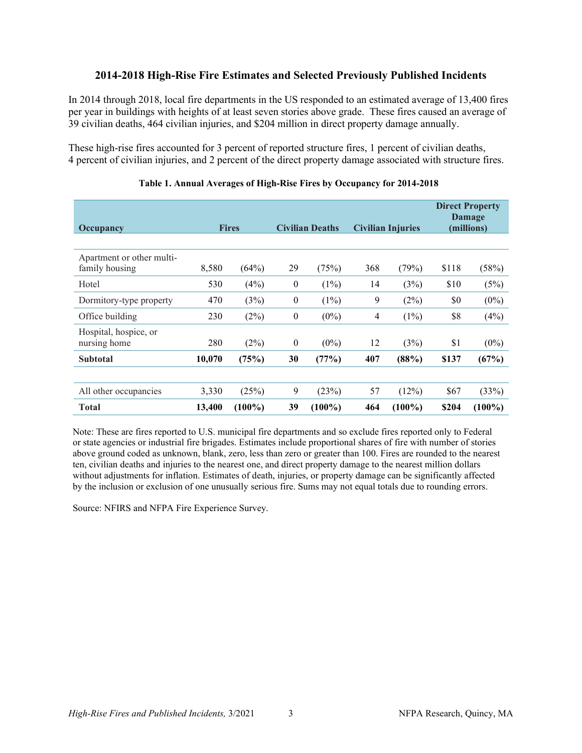## **2014-2018 High-Rise Fire Estimates and Selected Previously Published Incidents**

In 2014 through 2018, local fire departments in the US responded to an estimated average of 13,400 fires per year in buildings with heights of at least seven stories above grade. These fires caused an average of 39 civilian deaths, 464 civilian injuries, and \$204 million in direct property damage annually.

These high-rise fires accounted for 3 percent of reported structure fires, 1 percent of civilian deaths, 4 percent of civilian injuries, and 2 percent of the direct property damage associated with structure fires.

| Occupancy                                   | <b>Fires</b> |           | <b>Civilian Deaths</b> |           | <b>Civilian Injuries</b> |           | <b>Direct Property</b><br>Damage<br>(millions) |           |
|---------------------------------------------|--------------|-----------|------------------------|-----------|--------------------------|-----------|------------------------------------------------|-----------|
| Apartment or other multi-<br>family housing | 8,580        | (64%)     | 29                     | (75%)     | 368                      | (79%)     | \$118                                          | (58%)     |
| Hotel                                       | 530          | (4%)      | $\boldsymbol{0}$       | $(1\%)$   | 14                       | (3%)      | \$10                                           | (5%)      |
| Dormitory-type property                     | 470          | (3%)      | $\boldsymbol{0}$       | $(1\%)$   | 9                        | (2%)      | \$0                                            | $(0\%)$   |
| Office building                             | 230          | (2%)      | $\boldsymbol{0}$       | $(0\%)$   | 4                        | $(1\%)$   | \$8                                            | (4%)      |
| Hospital, hospice, or<br>nursing home       | 280          | (2%)      | $\boldsymbol{0}$       | $(0\%)$   | 12                       | (3%)      | \$1                                            | $(0\%)$   |
| <b>Subtotal</b>                             | 10,070       | (75%)     | 30                     | (77%)     | 407                      | (88%)     | \$137                                          | (67%)     |
|                                             |              |           |                        |           |                          |           |                                                |           |
| All other occupancies                       | 3,330        | (25%)     | 9                      | (23%)     | 57                       | (12%)     | \$67                                           | (33%)     |
| <b>Total</b>                                | 13,400       | $(100\%)$ | 39                     | $(100\%)$ | 464                      | $(100\%)$ | \$204                                          | $(100\%)$ |

## **Table 1. Annual Averages of High-Rise Fires by Occupancy for 2014-2018**

Note: These are fires reported to U.S. municipal fire departments and so exclude fires reported only to Federal or state agencies or industrial fire brigades. Estimates include proportional shares of fire with number of stories above ground coded as unknown, blank, zero, less than zero or greater than 100. Fires are rounded to the nearest ten, civilian deaths and injuries to the nearest one, and direct property damage to the nearest million dollars without adjustments for inflation. Estimates of death, injuries, or property damage can be significantly affected by the inclusion or exclusion of one unusually serious fire. Sums may not equal totals due to rounding errors.

Source: NFIRS and NFPA Fire Experience Survey.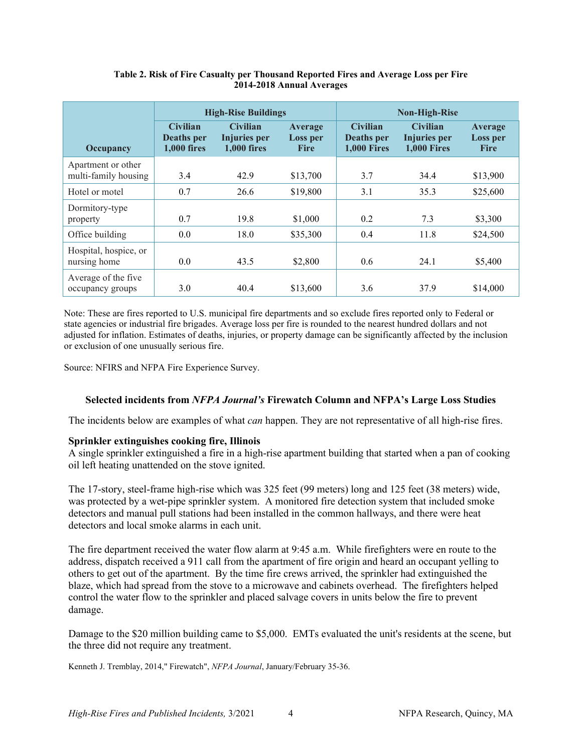|                                            |                                                | <b>High-Rise Buildings</b>                            |                                    | <b>Non-High-Rise</b>                                |                                                       |                                    |  |
|--------------------------------------------|------------------------------------------------|-------------------------------------------------------|------------------------------------|-----------------------------------------------------|-------------------------------------------------------|------------------------------------|--|
| Occupancy                                  | <b>Civilian</b><br>Deaths per<br>$1.000$ fires | <b>Civilian</b><br>Injuries per<br><b>1,000 fires</b> | Average<br>Loss per<br><b>Fire</b> | <b>Civilian</b><br>Deaths per<br><b>1,000 Fires</b> | <b>Civilian</b><br>Injuries per<br><b>1.000 Fires</b> | Average<br>Loss per<br><b>Fire</b> |  |
| Apartment or other<br>multi-family housing | 3.4                                            | 42.9                                                  | \$13,700                           | 3.7                                                 | 34.4                                                  | \$13,900                           |  |
| Hotel or motel                             | 0.7                                            | 26.6                                                  | \$19,800                           | 3.1                                                 | 35.3                                                  | \$25,600                           |  |
| Dormitory-type<br>property                 | 0.7                                            | 19.8                                                  | \$1,000                            | 0.2                                                 | 7.3                                                   | \$3,300                            |  |
| Office building                            | 0.0                                            | 18.0                                                  | \$35,300                           | 0.4                                                 | 11.8                                                  | \$24,500                           |  |
| Hospital, hospice, or<br>nursing home      | 0.0                                            | 43.5                                                  | \$2,800                            | 0.6                                                 | 24.1                                                  | \$5,400                            |  |
| Average of the five<br>occupancy groups    | 3.0                                            | 40.4                                                  | \$13,600                           | 3.6                                                 | 37.9                                                  | \$14,000                           |  |

## **Table 2. Risk of Fire Casualty per Thousand Reported Fires and Average Loss per Fire 2014-2018 Annual Averages**

Note: These are fires reported to U.S. municipal fire departments and so exclude fires reported only to Federal or state agencies or industrial fire brigades. Average loss per fire is rounded to the nearest hundred dollars and not adjusted for inflation. Estimates of deaths, injuries, or property damage can be significantly affected by the inclusion or exclusion of one unusually serious fire.

Source: NFIRS and NFPA Fire Experience Survey.

## **Selected incidents from** *NFPA Journal's* **Firewatch Column and NFPA's Large Loss Studies**

The incidents below are examples of what *can* happen. They are not representative of all high-rise fires.

## **Sprinkler extinguishes cooking fire, Illinois**

A single sprinkler extinguished a fire in a high-rise apartment building that started when a pan of cooking oil left heating unattended on the stove ignited.

The 17-story, steel-frame high-rise which was 325 feet (99 meters) long and 125 feet (38 meters) wide, was protected by a wet-pipe sprinkler system. A monitored fire detection system that included smoke detectors and manual pull stations had been installed in the common hallways, and there were heat detectors and local smoke alarms in each unit.

The fire department received the water flow alarm at 9:45 a.m. While firefighters were en route to the address, dispatch received a 911 call from the apartment of fire origin and heard an occupant yelling to others to get out of the apartment. By the time fire crews arrived, the sprinkler had extinguished the blaze, which had spread from the stove to a microwave and cabinets overhead. The firefighters helped control the water flow to the sprinkler and placed salvage covers in units below the fire to prevent damage.

Damage to the \$20 million building came to \$5,000. EMTs evaluated the unit's residents at the scene, but the three did not require any treatment.

Kenneth J. Tremblay, 2014," Firewatch", *NFPA Journal*, January/February 35-36.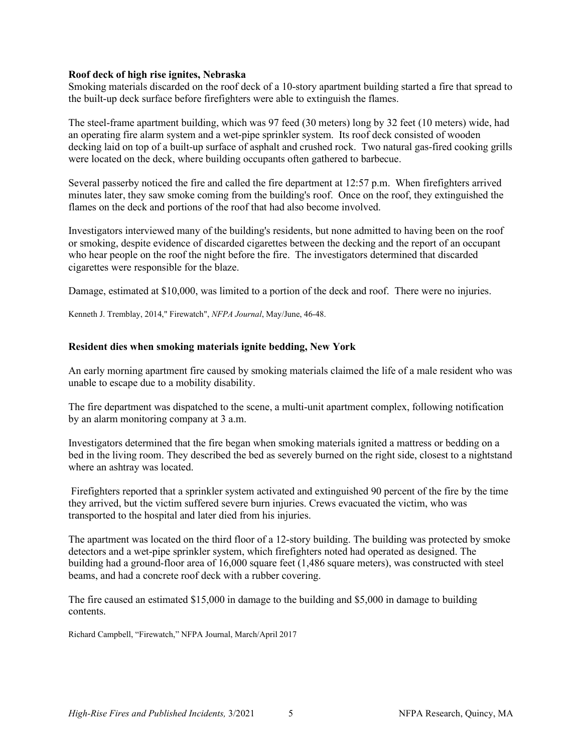### **Roof deck of high rise ignites, Nebraska**

Smoking materials discarded on the roof deck of a 10-story apartment building started a fire that spread to the built-up deck surface before firefighters were able to extinguish the flames.

The steel-frame apartment building, which was 97 feed (30 meters) long by 32 feet (10 meters) wide, had an operating fire alarm system and a wet-pipe sprinkler system. Its roof deck consisted of wooden decking laid on top of a built-up surface of asphalt and crushed rock. Two natural gas-fired cooking grills were located on the deck, where building occupants often gathered to barbecue.

Several passerby noticed the fire and called the fire department at 12:57 p.m. When firefighters arrived minutes later, they saw smoke coming from the building's roof. Once on the roof, they extinguished the flames on the deck and portions of the roof that had also become involved.

Investigators interviewed many of the building's residents, but none admitted to having been on the roof or smoking, despite evidence of discarded cigarettes between the decking and the report of an occupant who hear people on the roof the night before the fire. The investigators determined that discarded cigarettes were responsible for the blaze.

Damage, estimated at \$10,000, was limited to a portion of the deck and roof. There were no injuries.

Kenneth J. Tremblay, 2014," Firewatch", *NFPA Journal*, May/June, 46-48.

### **Resident dies when smoking materials ignite bedding, New York**

An early morning apartment fire caused by smoking materials claimed the life of a male resident who was unable to escape due to a mobility disability.

The fire department was dispatched to the scene, a multi-unit apartment complex, following notification by an alarm monitoring company at 3 a.m.

Investigators determined that the fire began when smoking materials ignited a mattress or bedding on a bed in the living room. They described the bed as severely burned on the right side, closest to a nightstand where an ashtray was located.

Firefighters reported that a sprinkler system activated and extinguished 90 percent of the fire by the time they arrived, but the victim suffered severe burn injuries. Crews evacuated the victim, who was transported to the hospital and later died from his injuries.

The apartment was located on the third floor of a 12-story building. The building was protected by smoke detectors and a wet-pipe sprinkler system, which firefighters noted had operated as designed. The building had a ground-floor area of 16,000 square feet (1,486 square meters), was constructed with steel beams, and had a concrete roof deck with a rubber covering.

The fire caused an estimated \$15,000 in damage to the building and \$5,000 in damage to building contents.

Richard Campbell, "Firewatch," NFPA Journal, March/April 2017